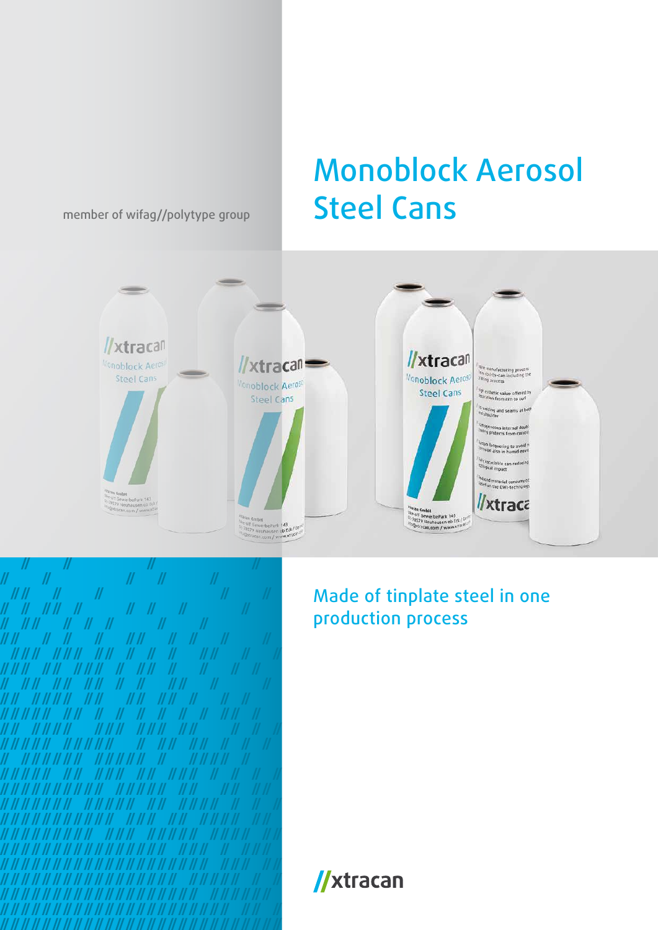member of wifag//polytype group

## Monoblock Aerosol Steel Cans





Made of tinplate steel in one production process

//xtracan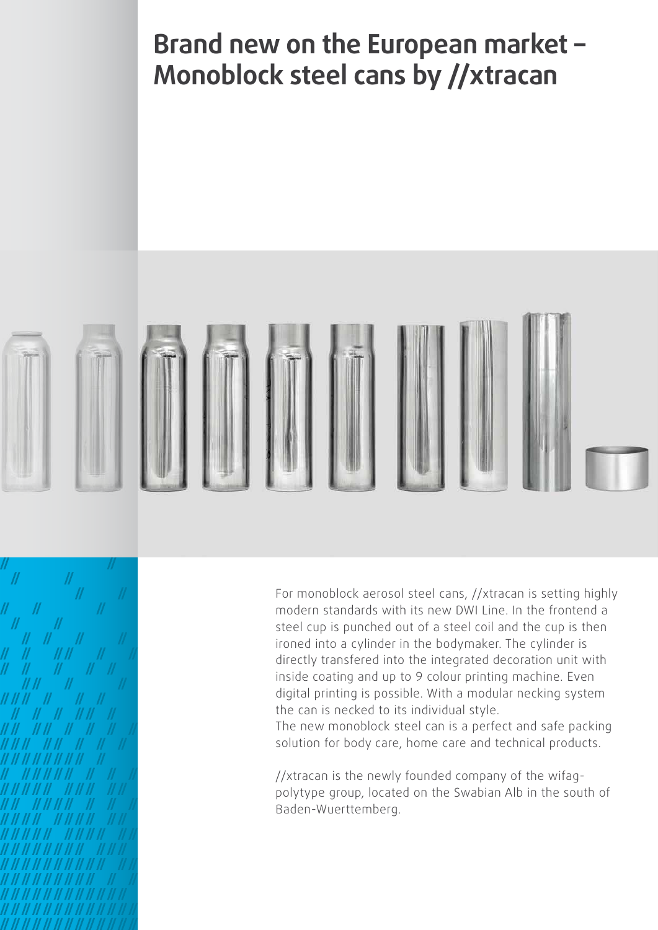**Brand new on the European market – Monoblock steel cans by //xtracan**



For monoblock aerosol steel cans, //xtracan is setting highly modern standards with its new DWI Line. In the frontend a steel cup is punched out of a steel coil and the cup is then ironed into a cylinder in the bodymaker. The cylinder is directly transfered into the integrated decoration unit with inside coating and up to 9 colour printing machine. Even digital printing is possible. With a modular necking system the can is necked to its individual style.

The new monoblock steel can is a perfect and safe packing solution for body care, home care and technical products.

//xtracan is the newly founded company of the wifagpolytype group, located on the Swabian Alb in the south of Baden-Wuerttemberg.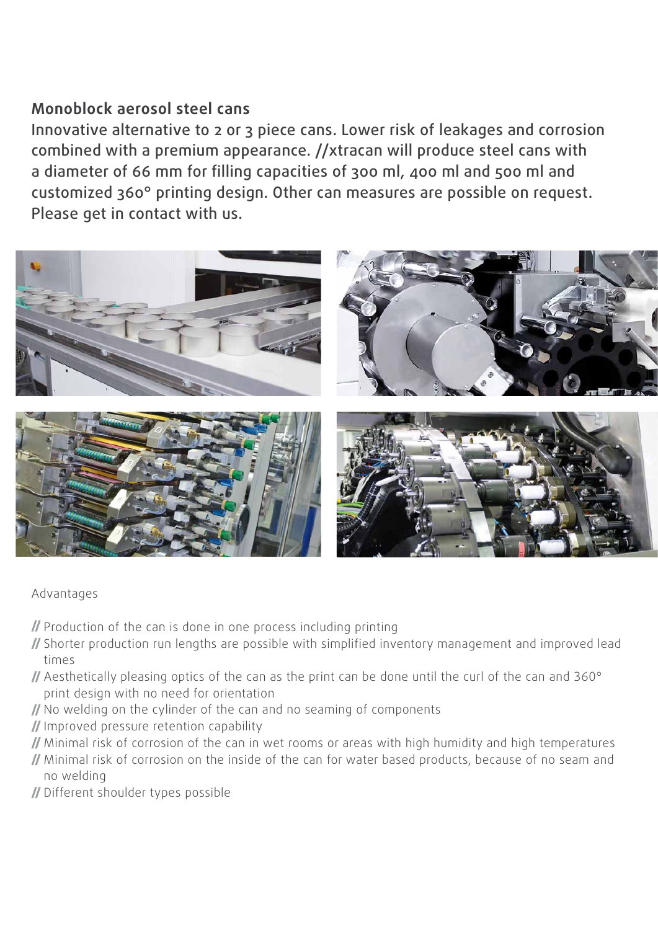## **Monoblock aerosol steel cans**

Innovative alternative to 2 or 3 piece cans. Lower risk of leakages and corrosion combined with a premium appearance. //xtracan will produce steel cans with a diameter of 66 mm for filling capacities of 300 ml, 400 ml and 500 ml and customized 360° printing design. Other can measures are possible on request. Please get in contact with us.



## Advantages

- $\mathcal I$  Production of the can is done in one process including printing
- Shorter production run lengths are possible with simplified inventory management and improved lead times
- Aesthetically pleasing optics of the can as the print can be done until the curl of the can and 360° print design with no need for orientation
- If No welding on the cylinder of the can and no seaming of components
- Improved pressure retention capability
- Minimal risk of corrosion of the can in wet rooms or areas with high humidity and high temperatures
- Minimal risk of corrosion on the inside of the can for water based products, because of no seam and no welding
- Different shoulder types possible